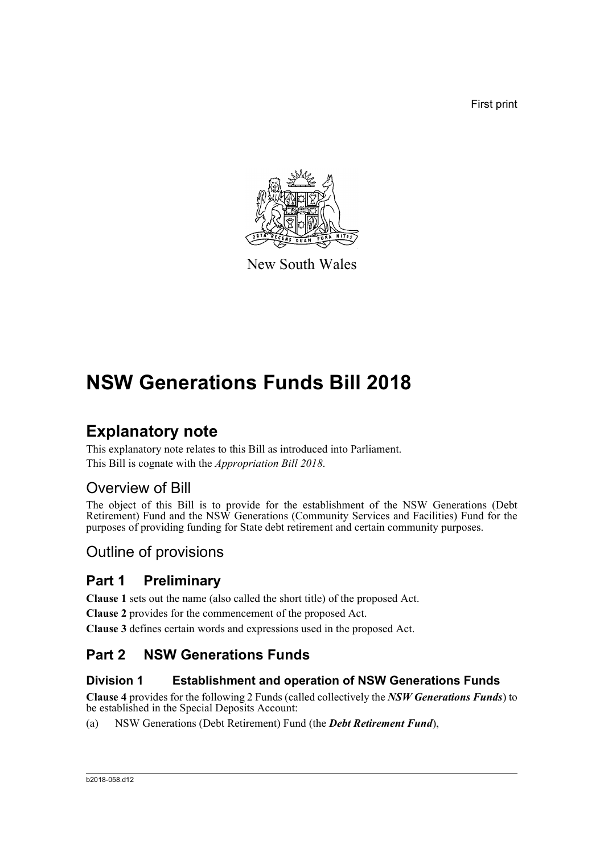First print



New South Wales

# **NSW Generations Funds Bill 2018**

# **Explanatory note**

This explanatory note relates to this Bill as introduced into Parliament. This Bill is cognate with the *Appropriation Bill 2018*.

## Overview of Bill

The object of this Bill is to provide for the establishment of the NSW Generations (Debt Retirement) Fund and the NSW Generations (Community Services and Facilities) Fund for the purposes of providing funding for State debt retirement and certain community purposes.

## Outline of provisions

## **Part 1 Preliminary**

**Clause 1** sets out the name (also called the short title) of the proposed Act.

**Clause 2** provides for the commencement of the proposed Act.

**Clause 3** defines certain words and expressions used in the proposed Act.

### **Part 2 NSW Generations Funds**

#### **Division 1 Establishment and operation of NSW Generations Funds**

**Clause 4** provides for the following 2 Funds (called collectively the *NSW Generations Funds*) to be established in the Special Deposits Account:

(a) NSW Generations (Debt Retirement) Fund (the *Debt Retirement Fund*),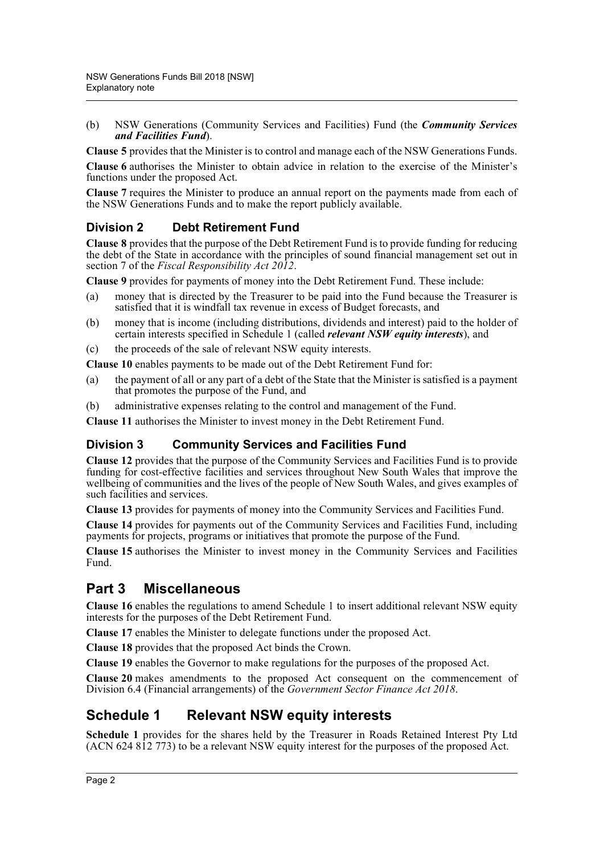(b) NSW Generations (Community Services and Facilities) Fund (the *Community Services and Facilities Fund*).

**Clause 5** provides that the Minister is to control and manage each of the NSW Generations Funds.

**Clause 6** authorises the Minister to obtain advice in relation to the exercise of the Minister's functions under the proposed Act.

**Clause 7** requires the Minister to produce an annual report on the payments made from each of the NSW Generations Funds and to make the report publicly available.

#### **Division 2 Debt Retirement Fund**

**Clause 8** provides that the purpose of the Debt Retirement Fund is to provide funding for reducing the debt of the State in accordance with the principles of sound financial management set out in section 7 of the *Fiscal Responsibility Act 2012*.

**Clause 9** provides for payments of money into the Debt Retirement Fund. These include:

- (a) money that is directed by the Treasurer to be paid into the Fund because the Treasurer is satisfied that it is windfall tax revenue in excess of Budget forecasts, and
- (b) money that is income (including distributions, dividends and interest) paid to the holder of certain interests specified in Schedule 1 (called *relevant NSW equity interests*), and
- (c) the proceeds of the sale of relevant NSW equity interests.

**Clause 10** enables payments to be made out of the Debt Retirement Fund for:

- (a) the payment of all or any part of a debt of the State that the Minister is satisfied is a payment that promotes the purpose of the Fund, and
- (b) administrative expenses relating to the control and management of the Fund.

**Clause 11** authorises the Minister to invest money in the Debt Retirement Fund.

#### **Division 3 Community Services and Facilities Fund**

**Clause 12** provides that the purpose of the Community Services and Facilities Fund is to provide funding for cost-effective facilities and services throughout New South Wales that improve the wellbeing of communities and the lives of the people of New South Wales, and gives examples of such facilities and services.

**Clause 13** provides for payments of money into the Community Services and Facilities Fund.

**Clause 14** provides for payments out of the Community Services and Facilities Fund, including payments for projects, programs or initiatives that promote the purpose of the Fund.

**Clause 15** authorises the Minister to invest money in the Community Services and Facilities Fund.

### **Part 3 Miscellaneous**

**Clause 16** enables the regulations to amend Schedule 1 to insert additional relevant NSW equity interests for the purposes of the Debt Retirement Fund.

**Clause 17** enables the Minister to delegate functions under the proposed Act.

**Clause 18** provides that the proposed Act binds the Crown.

**Clause 19** enables the Governor to make regulations for the purposes of the proposed Act.

**Clause 20** makes amendments to the proposed Act consequent on the commencement of Division 6.4 (Financial arrangements) of the *Government Sector Finance Act 2018*.

### **Schedule 1 Relevant NSW equity interests**

**Schedule 1** provides for the shares held by the Treasurer in Roads Retained Interest Pty Ltd (ACN 624 812 773) to be a relevant NSW equity interest for the purposes of the proposed Act.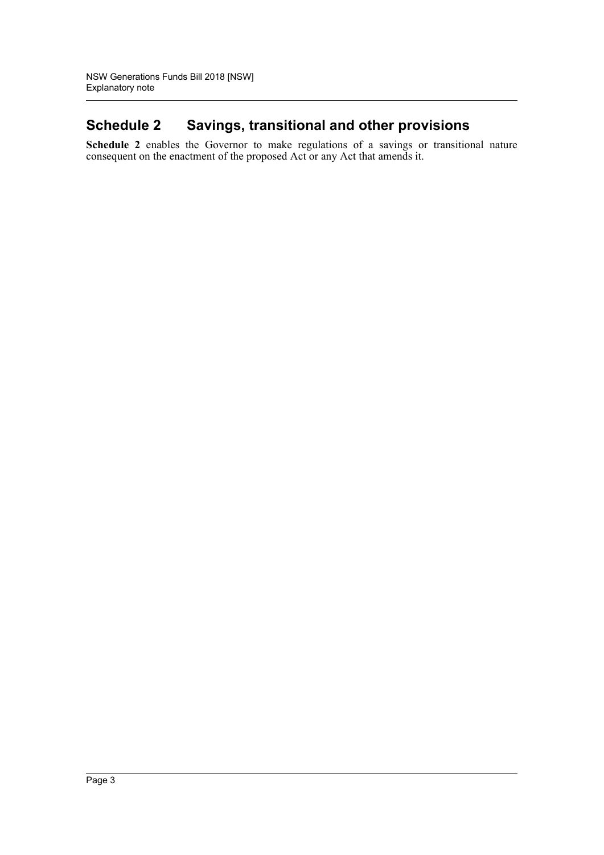## **Schedule 2 Savings, transitional and other provisions**

**Schedule 2** enables the Governor to make regulations of a savings or transitional nature consequent on the enactment of the proposed Act or any Act that amends it.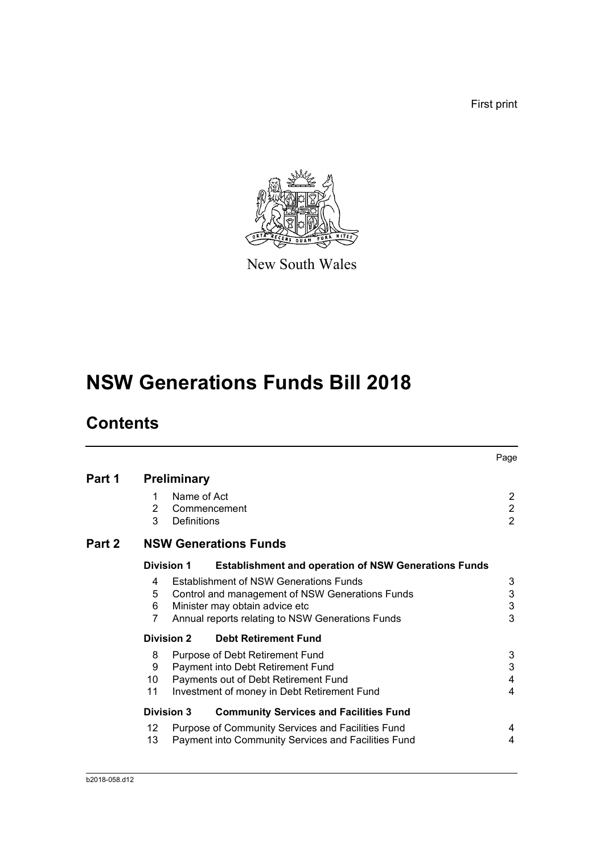First print



New South Wales

# **NSW Generations Funds Bill 2018**

# **Contents**

|        |                                                                  |                                                                                                                                                                                        | Page                                               |  |  |
|--------|------------------------------------------------------------------|----------------------------------------------------------------------------------------------------------------------------------------------------------------------------------------|----------------------------------------------------|--|--|
| Part 1 | <b>Preliminary</b>                                               |                                                                                                                                                                                        |                                                    |  |  |
|        | Name of Act<br>1<br>2<br>Commencement<br>3<br><b>Definitions</b> |                                                                                                                                                                                        | 2<br>$\overline{2}$<br>$\overline{2}$              |  |  |
| Part 2 | <b>NSW Generations Funds</b>                                     |                                                                                                                                                                                        |                                                    |  |  |
|        | <b>Division 1</b>                                                | <b>Establishment and operation of NSW Generations Funds</b>                                                                                                                            |                                                    |  |  |
|        | 4<br>5<br>6<br>7                                                 | <b>Establishment of NSW Generations Funds</b><br>Control and management of NSW Generations Funds<br>Minister may obtain advice etc<br>Annual reports relating to NSW Generations Funds | 3<br>$\ensuremath{\mathsf{3}}$<br>$\mathsf 3$<br>3 |  |  |
|        | <b>Division 2</b>                                                | <b>Debt Retirement Fund</b>                                                                                                                                                            |                                                    |  |  |
|        | 8<br>9<br>10<br>11                                               | Purpose of Debt Retirement Fund<br>Payment into Debt Retirement Fund<br>Payments out of Debt Retirement Fund<br>Investment of money in Debt Retirement Fund                            | 3<br>3<br>4<br>4                                   |  |  |
|        | <b>Division 3</b>                                                | <b>Community Services and Facilities Fund</b>                                                                                                                                          |                                                    |  |  |
|        | 12<br>13                                                         | Purpose of Community Services and Facilities Fund<br>Payment into Community Services and Facilities Fund                                                                               | 4<br>4                                             |  |  |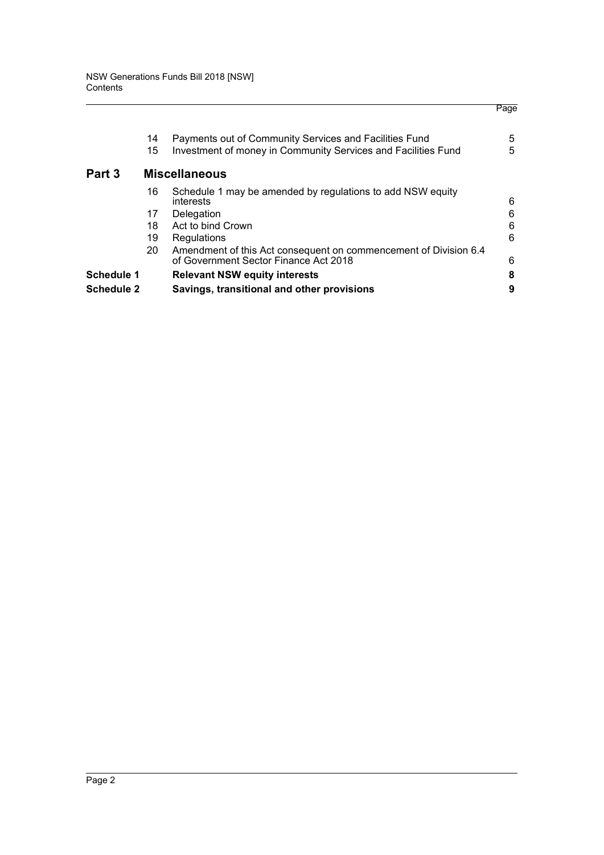| Schedule 2 |    | Savings, transitional and other provisions                                                                | 9 |
|------------|----|-----------------------------------------------------------------------------------------------------------|---|
| Schedule 1 |    | <b>Relevant NSW equity interests</b>                                                                      | 8 |
|            | 20 | Amendment of this Act consequent on commencement of Division 6.4<br>of Government Sector Finance Act 2018 | 6 |
|            | 19 | Regulations                                                                                               | 6 |
|            | 18 | Act to bind Crown                                                                                         | 6 |
|            | 17 | Delegation                                                                                                | 6 |
|            | 16 | Schedule 1 may be amended by regulations to add NSW equity<br>interests                                   | 6 |
| Part 3     |    | <b>Miscellaneous</b>                                                                                      |   |
|            | 15 | Investment of money in Community Services and Facilities Fund                                             | 5 |
|            | 14 | Payments out of Community Services and Facilities Fund                                                    | 5 |
|            |    |                                                                                                           |   |

Page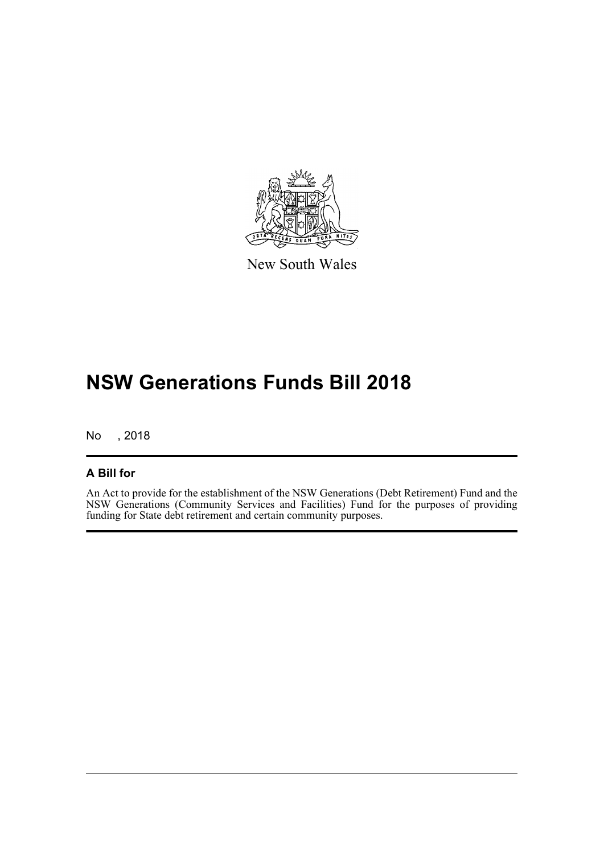

New South Wales

# **NSW Generations Funds Bill 2018**

No , 2018

#### **A Bill for**

An Act to provide for the establishment of the NSW Generations (Debt Retirement) Fund and the NSW Generations (Community Services and Facilities) Fund for the purposes of providing funding for State debt retirement and certain community purposes.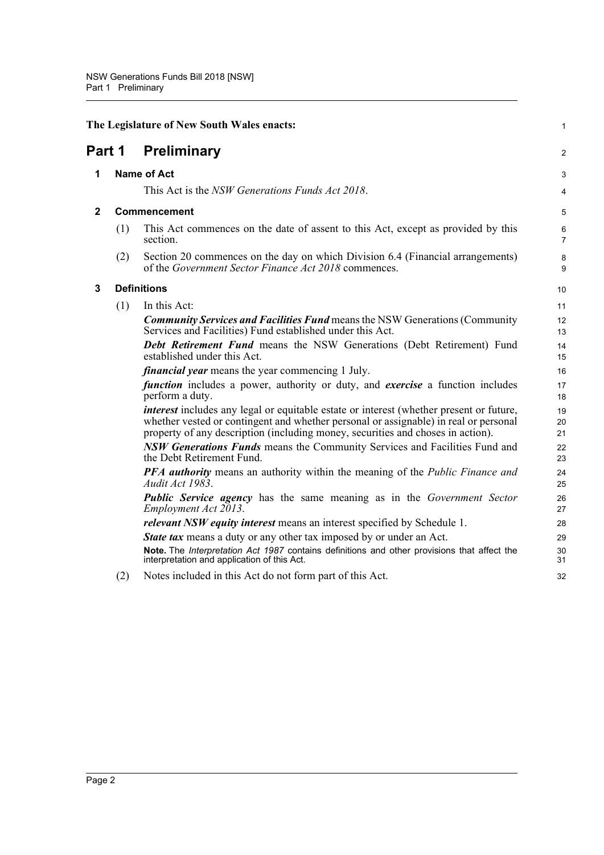<span id="page-6-3"></span><span id="page-6-2"></span><span id="page-6-1"></span><span id="page-6-0"></span>

|              | The Legislature of New South Wales enacts: |                                                                                                                                                                                                                                                                           |                     |  |  |
|--------------|--------------------------------------------|---------------------------------------------------------------------------------------------------------------------------------------------------------------------------------------------------------------------------------------------------------------------------|---------------------|--|--|
| Part 1       |                                            | <b>Preliminary</b>                                                                                                                                                                                                                                                        |                     |  |  |
| 1            |                                            | <b>Name of Act</b>                                                                                                                                                                                                                                                        | 3                   |  |  |
|              |                                            | This Act is the NSW Generations Funds Act 2018.                                                                                                                                                                                                                           | 4                   |  |  |
| $\mathbf{2}$ |                                            | Commencement                                                                                                                                                                                                                                                              | 5                   |  |  |
|              | (1)                                        | This Act commences on the date of assent to this Act, except as provided by this<br>section.                                                                                                                                                                              | 6<br>$\overline{7}$ |  |  |
|              | (2)                                        | Section 20 commences on the day on which Division 6.4 (Financial arrangements)<br>of the Government Sector Finance Act 2018 commences.                                                                                                                                    | 8<br>9              |  |  |
| 3            |                                            | <b>Definitions</b>                                                                                                                                                                                                                                                        | 10                  |  |  |
|              | (1)                                        | In this Act:                                                                                                                                                                                                                                                              | 11                  |  |  |
|              |                                            | <b>Community Services and Facilities Fund</b> means the NSW Generations (Community<br>Services and Facilities) Fund established under this Act.                                                                                                                           | 12<br>13            |  |  |
|              |                                            | Debt Retirement Fund means the NSW Generations (Debt Retirement) Fund<br>established under this Act.                                                                                                                                                                      | 14<br>15            |  |  |
|              |                                            | <i>financial year</i> means the year commencing 1 July.                                                                                                                                                                                                                   | 16                  |  |  |
|              |                                            | function includes a power, authority or duty, and exercise a function includes<br>perform a duty.                                                                                                                                                                         | 17<br>18            |  |  |
|              |                                            | <i>interest</i> includes any legal or equitable estate or interest (whether present or future,<br>whether vested or contingent and whether personal or assignable) in real or personal<br>property of any description (including money, securities and choses in action). | 19<br>20<br>21      |  |  |
|              |                                            | <b>NSW Generations Funds</b> means the Community Services and Facilities Fund and<br>the Debt Retirement Fund.                                                                                                                                                            | 22<br>23            |  |  |
|              |                                            | <b>PFA authority</b> means an authority within the meaning of the <i>Public Finance and</i><br>Audit Act 1983.                                                                                                                                                            | 24<br>25            |  |  |
|              |                                            | <b>Public Service agency</b> has the same meaning as in the Government Sector<br>Employment Act 2013.                                                                                                                                                                     | 26<br>27            |  |  |
|              |                                            | <i>relevant NSW equity interest</i> means an interest specified by Schedule 1.                                                                                                                                                                                            | 28                  |  |  |
|              |                                            | <b>State tax</b> means a duty or any other tax imposed by or under an Act.                                                                                                                                                                                                | 29                  |  |  |
|              |                                            | Note. The Interpretation Act 1987 contains definitions and other provisions that affect the<br>interpretation and application of this Act.                                                                                                                                | 30<br>31            |  |  |
|              | (2)                                        | Notes included in this Act do not form part of this Act.                                                                                                                                                                                                                  | 32                  |  |  |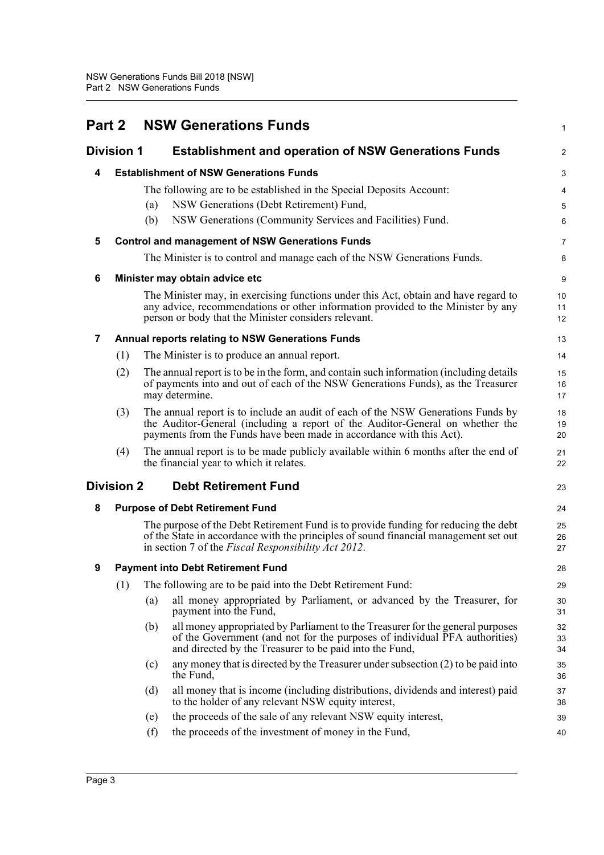<span id="page-7-8"></span><span id="page-7-7"></span><span id="page-7-6"></span><span id="page-7-5"></span><span id="page-7-4"></span><span id="page-7-3"></span><span id="page-7-2"></span><span id="page-7-1"></span><span id="page-7-0"></span>

|                | <b>Part 2</b>     | <b>NSW Generations Funds</b>                                                                                                                                                                                                              | 1                       |
|----------------|-------------------|-------------------------------------------------------------------------------------------------------------------------------------------------------------------------------------------------------------------------------------------|-------------------------|
|                | <b>Division 1</b> | <b>Establishment and operation of NSW Generations Funds</b>                                                                                                                                                                               | $\overline{\mathbf{c}}$ |
| 4              |                   | <b>Establishment of NSW Generations Funds</b>                                                                                                                                                                                             | 3                       |
|                |                   | The following are to be established in the Special Deposits Account:                                                                                                                                                                      | 4                       |
|                |                   | NSW Generations (Debt Retirement) Fund,<br>(a)                                                                                                                                                                                            | 5                       |
|                |                   | NSW Generations (Community Services and Facilities) Fund.<br>(b)                                                                                                                                                                          | 6                       |
| 5              |                   | <b>Control and management of NSW Generations Funds</b>                                                                                                                                                                                    | 7                       |
|                |                   | The Minister is to control and manage each of the NSW Generations Funds.                                                                                                                                                                  | 8                       |
| 6              |                   | Minister may obtain advice etc                                                                                                                                                                                                            | 9                       |
|                |                   | The Minister may, in exercising functions under this Act, obtain and have regard to<br>any advice, recommendations or other information provided to the Minister by any<br>person or body that the Minister considers relevant.           | 10<br>11<br>12          |
| $\overline{7}$ |                   | <b>Annual reports relating to NSW Generations Funds</b>                                                                                                                                                                                   | 13                      |
|                | (1)               | The Minister is to produce an annual report.                                                                                                                                                                                              | 14                      |
|                | (2)               | The annual report is to be in the form, and contain such information (including details<br>of payments into and out of each of the NSW Generations Funds), as the Treasurer<br>may determine.                                             | 15<br>16<br>17          |
|                | (3)               | The annual report is to include an audit of each of the NSW Generations Funds by<br>the Auditor-General (including a report of the Auditor-General on whether the<br>payments from the Funds have been made in accordance with this Act). | 18<br>19<br>20          |
|                | (4)               | The annual report is to be made publicly available within 6 months after the end of<br>the financial year to which it relates.                                                                                                            | 21<br>22                |
|                | <b>Division 2</b> | <b>Debt Retirement Fund</b>                                                                                                                                                                                                               | 23                      |
| 8              |                   | <b>Purpose of Debt Retirement Fund</b>                                                                                                                                                                                                    | 24                      |
|                |                   | The purpose of the Debt Retirement Fund is to provide funding for reducing the debt<br>of the State in accordance with the principles of sound financial management set out<br>in section 7 of the Fiscal Responsibility Act 2012.        | 25<br>26<br>27          |
| 9              |                   | <b>Payment into Debt Retirement Fund</b>                                                                                                                                                                                                  | 28                      |
|                | (1)               | The following are to be paid into the Debt Retirement Fund:                                                                                                                                                                               | 29                      |
|                |                   | all money appropriated by Parliament, or advanced by the Treasurer, for<br>(a)<br>payment into the Fund,                                                                                                                                  | 30<br>31                |
|                |                   | all money appropriated by Parliament to the Treasurer for the general purposes<br>(b)<br>of the Government (and not for the purposes of individual PFA authorities)<br>and directed by the Treasurer to be paid into the Fund,            | 32<br>33<br>34          |
|                |                   | any money that is directed by the Treasurer under subsection $(2)$ to be paid into<br>(c)<br>the Fund,                                                                                                                                    | 35<br>36                |
|                |                   | all money that is income (including distributions, dividends and interest) paid<br>(d)<br>to the holder of any relevant NSW equity interest,                                                                                              | 37<br>38                |
|                |                   | the proceeds of the sale of any relevant NSW equity interest,<br>(e)                                                                                                                                                                      | 39                      |
|                |                   | (f)<br>the proceeds of the investment of money in the Fund,                                                                                                                                                                               | 40                      |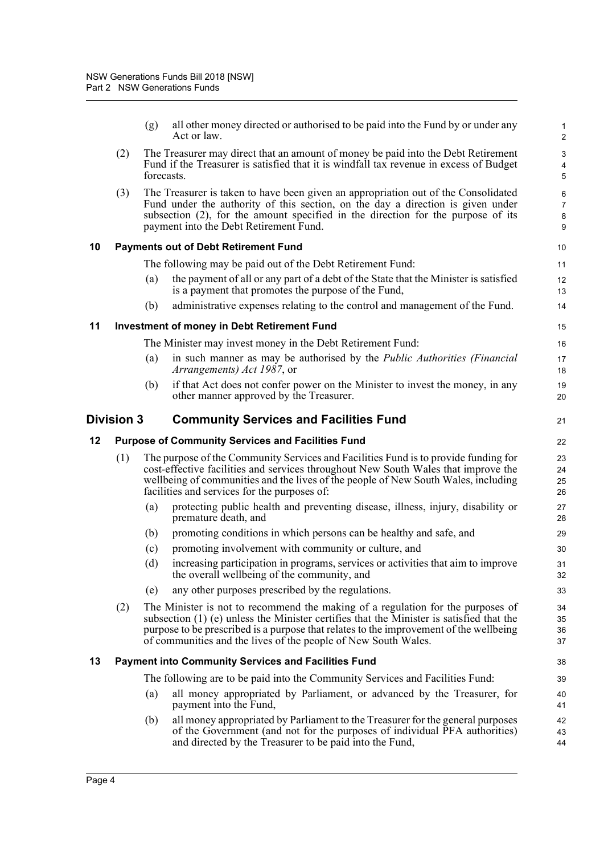<span id="page-8-4"></span><span id="page-8-3"></span><span id="page-8-2"></span><span id="page-8-1"></span><span id="page-8-0"></span>

|    |                   | (g)        | all other money directed or authorised to be paid into the Fund by or under any<br>Act or law.                                                                                                                                                                                                                                            | $\mathbf{1}$<br>2                            |
|----|-------------------|------------|-------------------------------------------------------------------------------------------------------------------------------------------------------------------------------------------------------------------------------------------------------------------------------------------------------------------------------------------|----------------------------------------------|
|    | (2)               | forecasts. | The Treasurer may direct that an amount of money be paid into the Debt Retirement<br>Fund if the Treasurer is satisfied that it is windfall tax revenue in excess of Budget                                                                                                                                                               | $\ensuremath{\mathsf{3}}$<br>4<br>$\sqrt{5}$ |
|    | (3)               |            | The Treasurer is taken to have been given an appropriation out of the Consolidated<br>Fund under the authority of this section, on the day a direction is given under<br>subsection (2), for the amount specified in the direction for the purpose of its<br>payment into the Debt Retirement Fund.                                       | $\,6\,$<br>$\overline{7}$<br>8<br>9          |
| 10 |                   |            | <b>Payments out of Debt Retirement Fund</b>                                                                                                                                                                                                                                                                                               | 10                                           |
|    |                   |            | The following may be paid out of the Debt Retirement Fund:                                                                                                                                                                                                                                                                                | 11                                           |
|    |                   | (a)        | the payment of all or any part of a debt of the State that the Minister is satisfied<br>is a payment that promotes the purpose of the Fund,                                                                                                                                                                                               | 12<br>13                                     |
|    |                   | (b)        | administrative expenses relating to the control and management of the Fund.                                                                                                                                                                                                                                                               | 14                                           |
| 11 |                   |            | <b>Investment of money in Debt Retirement Fund</b>                                                                                                                                                                                                                                                                                        | 15                                           |
|    |                   |            | The Minister may invest money in the Debt Retirement Fund:                                                                                                                                                                                                                                                                                | 16                                           |
|    |                   | (a)        | in such manner as may be authorised by the Public Authorities (Financial<br><i>Arrangements) Act 1987</i> , or                                                                                                                                                                                                                            | 17<br>18                                     |
|    |                   | (b)        | if that Act does not confer power on the Minister to invest the money, in any<br>other manner approved by the Treasurer.                                                                                                                                                                                                                  | 19<br>20                                     |
|    | <b>Division 3</b> |            | <b>Community Services and Facilities Fund</b>                                                                                                                                                                                                                                                                                             | 21                                           |
|    |                   |            |                                                                                                                                                                                                                                                                                                                                           |                                              |
| 12 |                   |            | <b>Purpose of Community Services and Facilities Fund</b>                                                                                                                                                                                                                                                                                  | 22                                           |
|    | (1)               |            | The purpose of the Community Services and Facilities Fund is to provide funding for<br>cost-effective facilities and services throughout New South Wales that improve the<br>wellbeing of communities and the lives of the people of New South Wales, including<br>facilities and services for the purposes of:                           | 23<br>24<br>25<br>26                         |
|    |                   | (a)        | protecting public health and preventing disease, illness, injury, disability or<br>premature death, and                                                                                                                                                                                                                                   | 27<br>28                                     |
|    |                   | (b)        | promoting conditions in which persons can be healthy and safe, and                                                                                                                                                                                                                                                                        | 29                                           |
|    |                   | (c)        | promoting involvement with community or culture, and                                                                                                                                                                                                                                                                                      | 30                                           |
|    |                   | (d)        | increasing participation in programs, services or activities that aim to improve<br>the overall wellbeing of the community, and                                                                                                                                                                                                           | 31<br>32                                     |
|    |                   | (e)        | any other purposes prescribed by the regulations.                                                                                                                                                                                                                                                                                         | 33                                           |
|    | (2)               |            | The Minister is not to recommend the making of a regulation for the purposes of<br>subsection $(1)$ (e) unless the Minister certifies that the Minister is satisfied that the<br>purpose to be prescribed is a purpose that relates to the improvement of the wellbeing<br>of communities and the lives of the people of New South Wales. | 34<br>35<br>36<br>37                         |
| 13 |                   |            | <b>Payment into Community Services and Facilities Fund</b>                                                                                                                                                                                                                                                                                | 38                                           |
|    |                   |            | The following are to be paid into the Community Services and Facilities Fund:                                                                                                                                                                                                                                                             | 39                                           |
|    |                   | (a)        | all money appropriated by Parliament, or advanced by the Treasurer, for<br>payment into the Fund,                                                                                                                                                                                                                                         | 40<br>41                                     |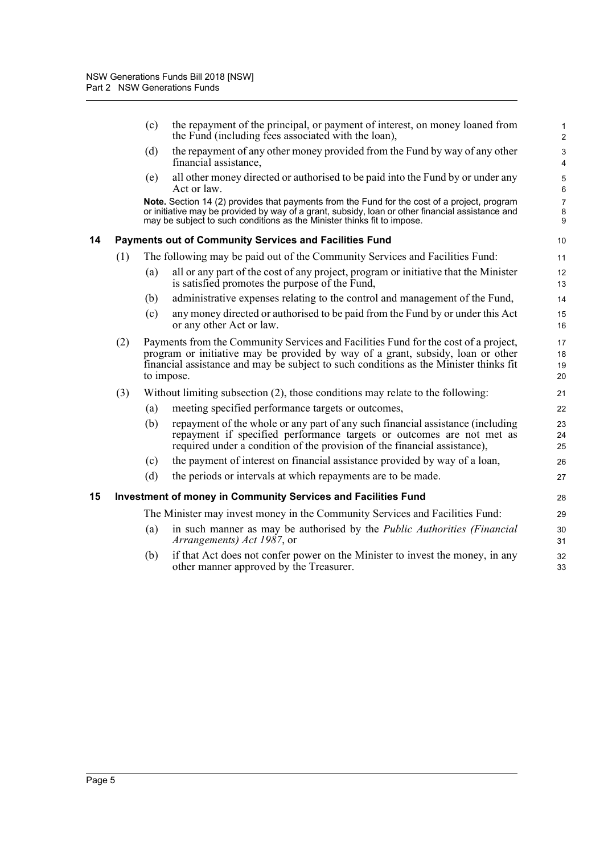<span id="page-9-1"></span><span id="page-9-0"></span>

|    |     | (c) | the repayment of the principal, or payment of interest, on money loaned from<br>the Fund (including fees associated with the loan),                                                                                                                                           | 1<br>2                   |
|----|-----|-----|-------------------------------------------------------------------------------------------------------------------------------------------------------------------------------------------------------------------------------------------------------------------------------|--------------------------|
|    |     | (d) | the repayment of any other money provided from the Fund by way of any other<br>financial assistance,                                                                                                                                                                          | 3<br>4                   |
|    |     | (e) | all other money directed or authorised to be paid into the Fund by or under any<br>Act or law.                                                                                                                                                                                | 5<br>6                   |
|    |     |     | Note. Section 14 (2) provides that payments from the Fund for the cost of a project, program<br>or initiative may be provided by way of a grant, subsidy, loan or other financial assistance and<br>may be subject to such conditions as the Minister thinks fit to impose.   | $\overline{7}$<br>8<br>9 |
| 14 |     |     | <b>Payments out of Community Services and Facilities Fund</b>                                                                                                                                                                                                                 | 10                       |
|    | (1) |     | The following may be paid out of the Community Services and Facilities Fund:                                                                                                                                                                                                  | 11                       |
|    |     | (a) | all or any part of the cost of any project, program or initiative that the Minister<br>is satisfied promotes the purpose of the Fund,                                                                                                                                         | 12<br>13                 |
|    |     | (b) | administrative expenses relating to the control and management of the Fund,                                                                                                                                                                                                   | 14                       |
|    |     | (c) | any money directed or authorised to be paid from the Fund by or under this Act<br>or any other Act or law.                                                                                                                                                                    | 15<br>16                 |
|    | (2) |     | Payments from the Community Services and Facilities Fund for the cost of a project,<br>program or initiative may be provided by way of a grant, subsidy, loan or other<br>financial assistance and may be subject to such conditions as the Minister thinks fit<br>to impose. | 17<br>18<br>19<br>20     |
|    | (3) |     | Without limiting subsection (2), those conditions may relate to the following:                                                                                                                                                                                                | 21                       |
|    |     | (a) | meeting specified performance targets or outcomes,                                                                                                                                                                                                                            | 22                       |
|    |     | (b) | repayment of the whole or any part of any such financial assistance (including<br>repayment if specified performance targets or outcomes are not met as<br>required under a condition of the provision of the financial assistance),                                          | 23<br>24<br>25           |
|    |     | (c) | the payment of interest on financial assistance provided by way of a loan,                                                                                                                                                                                                    | 26                       |
|    |     | (d) | the periods or intervals at which repayments are to be made.                                                                                                                                                                                                                  | 27                       |
| 15 |     |     | Investment of money in Community Services and Facilities Fund                                                                                                                                                                                                                 | 28                       |
|    |     |     | The Minister may invest money in the Community Services and Facilities Fund:                                                                                                                                                                                                  | 29                       |
|    |     | (a) | in such manner as may be authorised by the <i>Public Authorities (Financial</i><br><i>Arrangements</i> ) <i>Act 1987</i> , or                                                                                                                                                 | 30<br>31                 |
|    |     | (b) | if that Act does not confer power on the Minister to invest the money, in any<br>other manner approved by the Treasurer.                                                                                                                                                      | 32<br>33                 |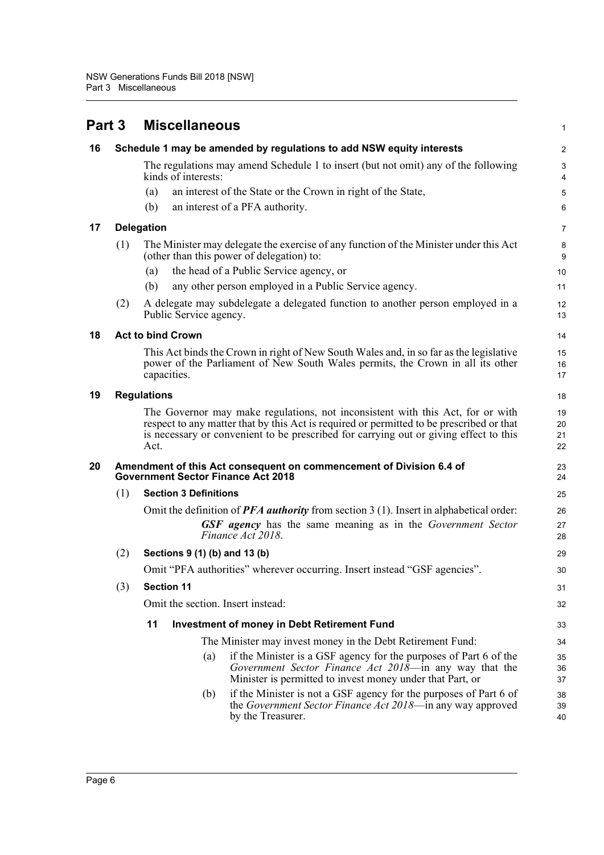<span id="page-10-5"></span><span id="page-10-4"></span><span id="page-10-3"></span><span id="page-10-2"></span><span id="page-10-1"></span><span id="page-10-0"></span>

| Part 3 |     |                    | <b>Miscellaneous</b>          |                                                                                                                                                                                                                                                                     | 1                    |  |  |
|--------|-----|--------------------|-------------------------------|---------------------------------------------------------------------------------------------------------------------------------------------------------------------------------------------------------------------------------------------------------------------|----------------------|--|--|
| 16     |     |                    |                               | Schedule 1 may be amended by regulations to add NSW equity interests                                                                                                                                                                                                | $\overline{2}$       |  |  |
|        |     |                    | kinds of interests:           | The regulations may amend Schedule 1 to insert (but not omit) any of the following                                                                                                                                                                                  | 3<br>4               |  |  |
|        |     | (a)                |                               | an interest of the State or the Crown in right of the State,                                                                                                                                                                                                        | 5                    |  |  |
|        |     | (b)                |                               | an interest of a PFA authority.                                                                                                                                                                                                                                     | 6                    |  |  |
| 17     |     | <b>Delegation</b>  |                               |                                                                                                                                                                                                                                                                     |                      |  |  |
|        | (1) |                    |                               | The Minister may delegate the exercise of any function of the Minister under this Act<br>(other than this power of delegation) to:                                                                                                                                  | 8<br>9               |  |  |
|        |     | (a)                |                               | the head of a Public Service agency, or                                                                                                                                                                                                                             | 10                   |  |  |
|        |     | (b)                |                               | any other person employed in a Public Service agency.                                                                                                                                                                                                               | 11                   |  |  |
|        | (2) |                    | Public Service agency.        | A delegate may subdelegate a delegated function to another person employed in a                                                                                                                                                                                     | 12<br>13             |  |  |
| 18     |     |                    | <b>Act to bind Crown</b>      |                                                                                                                                                                                                                                                                     | 14                   |  |  |
|        |     |                    | capacities.                   | This Act binds the Crown in right of New South Wales and, in so far as the legislative<br>power of the Parliament of New South Wales permits, the Crown in all its other                                                                                            | 15<br>16<br>17       |  |  |
| 19     |     | <b>Regulations</b> |                               |                                                                                                                                                                                                                                                                     | 18                   |  |  |
|        |     | Act.               |                               | The Governor may make regulations, not inconsistent with this Act, for or with<br>respect to any matter that by this Act is required or permitted to be prescribed or that<br>is necessary or convenient to be prescribed for carrying out or giving effect to this | 19<br>20<br>21<br>22 |  |  |
| 20     |     |                    |                               | Amendment of this Act consequent on commencement of Division 6.4 of<br><b>Government Sector Finance Act 2018</b>                                                                                                                                                    | 23<br>24             |  |  |
|        | (1) |                    | <b>Section 3 Definitions</b>  |                                                                                                                                                                                                                                                                     | 25                   |  |  |
|        |     |                    |                               | Omit the definition of $PFA$ <i>authority</i> from section 3 (1). Insert in alphabetical order:                                                                                                                                                                     | 26                   |  |  |
|        |     |                    |                               | <b>GSF</b> agency has the same meaning as in the Government Sector<br>Finance Act 2018.                                                                                                                                                                             | 27<br>28             |  |  |
|        | (2) |                    | Sections 9 (1) (b) and 13 (b) |                                                                                                                                                                                                                                                                     | 29                   |  |  |
|        |     |                    |                               | Omit "PFA authorities" wherever occurring. Insert instead "GSF agencies".                                                                                                                                                                                           | 30                   |  |  |
|        | (3) |                    | <b>Section 11</b>             |                                                                                                                                                                                                                                                                     | 31                   |  |  |
|        |     |                    |                               | Omit the section. Insert instead:                                                                                                                                                                                                                                   | 32                   |  |  |
|        |     | 11                 |                               | <b>Investment of money in Debt Retirement Fund</b>                                                                                                                                                                                                                  | 33                   |  |  |
|        |     |                    |                               | The Minister may invest money in the Debt Retirement Fund:                                                                                                                                                                                                          | 34                   |  |  |
|        |     |                    | (a)                           | if the Minister is a GSF agency for the purposes of Part 6 of the<br>Government Sector Finance Act 2018-in any way that the<br>Minister is permitted to invest money under that Part, or                                                                            | 35<br>36<br>37       |  |  |
|        |     |                    | (b)                           | if the Minister is not a GSF agency for the purposes of Part 6 of<br>the <i>Government Sector Finance Act 2018</i> —in any way approved<br>by the Treasurer.                                                                                                        | 38<br>39<br>40       |  |  |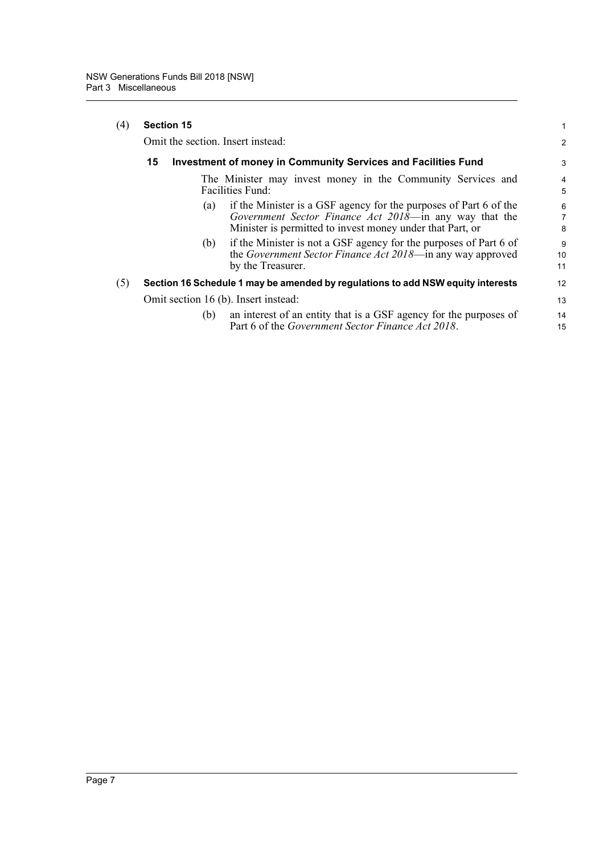| $\left( 4\right)$ | <b>Section 15</b><br>Omit the section. Insert instead:                                                                                                               |     |                                                                                                                                                                                          | 1              |
|-------------------|----------------------------------------------------------------------------------------------------------------------------------------------------------------------|-----|------------------------------------------------------------------------------------------------------------------------------------------------------------------------------------------|----------------|
|                   |                                                                                                                                                                      |     |                                                                                                                                                                                          | $\overline{2}$ |
|                   | 15<br><b>Investment of money in Community Services and Facilities Fund</b><br>The Minister may invest money in the Community Services and<br><b>Facilities Fund:</b> |     |                                                                                                                                                                                          | 3              |
|                   |                                                                                                                                                                      |     |                                                                                                                                                                                          | 4<br>5         |
|                   |                                                                                                                                                                      | (a) | if the Minister is a GSF agency for the purposes of Part 6 of the<br>Government Sector Finance Act 2018—in any way that the<br>Minister is permitted to invest money under that Part, or | 6<br>7<br>8    |
|                   |                                                                                                                                                                      | (b) | if the Minister is not a GSF agency for the purposes of Part 6 of<br>the Government Sector Finance Act 2018—in any way approved<br>by the Treasurer.                                     | 9<br>10<br>11  |
| (5)               |                                                                                                                                                                      |     | Section 16 Schedule 1 may be amended by regulations to add NSW equity interests                                                                                                          | 12             |
|                   |                                                                                                                                                                      |     | Omit section 16 (b). Insert instead:                                                                                                                                                     | 13             |
|                   |                                                                                                                                                                      | (b) | an interest of an entity that is a GSF agency for the purposes of<br>Part 6 of the <i>Government Sector Finance Act 2018</i> .                                                           | 14<br>15       |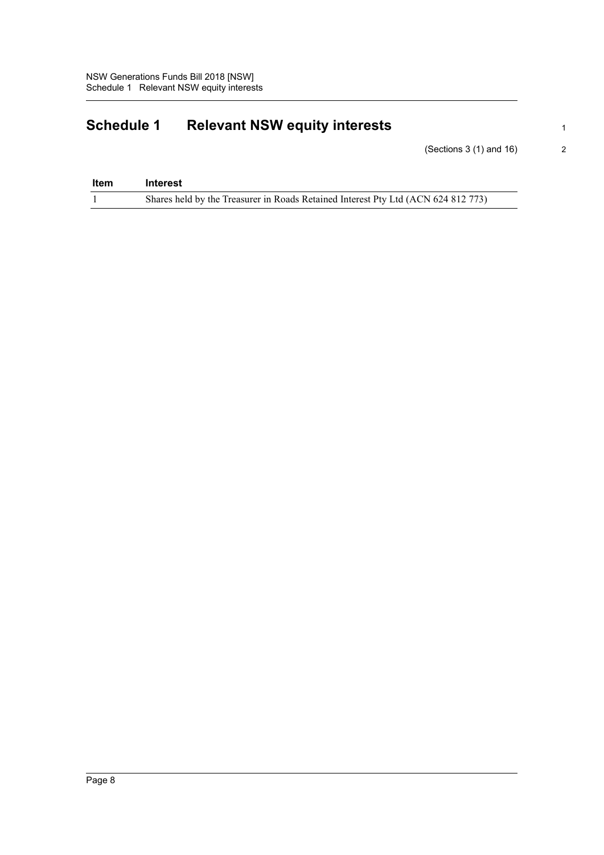# <span id="page-12-0"></span>**Schedule 1 Relevant NSW equity interests**

(Sections 3 (1) and 16)

| Item | Interest                                                                          |
|------|-----------------------------------------------------------------------------------|
|      | Shares held by the Treasurer in Roads Retained Interest Pty Ltd (ACN 624 812 773) |

1 2